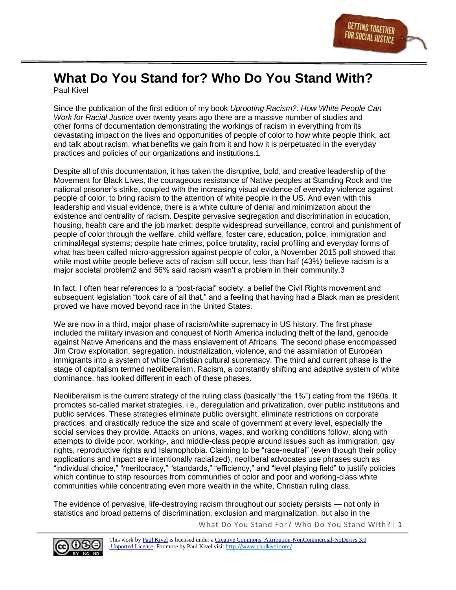

## **What Do You Stand for? Who Do You Stand With?**

Paul Kivel

Since the publication of the first edition of my book *Uprooting Racism?: How White People Can Work for Racial Justice* over twenty years ago there are a massive number of studies and other forms of documentation demonstrating the workings of racism in everything from its devastating impact on the lives and opportunities of people of color to how white people think, act and talk about racism, what benefits we gain from it and how it is perpetuated in the everyday practices and policies of our organizations and institutions.1

Despite all of this documentation, it has taken the disruptive, bold, and creative leadership of the Movement for Black Lives, the courageous resistance of Native peoples at Standing Rock and the national prisoner's strike, coupled with the increasing visual evidence of everyday violence against people of color, to bring racism to the attention of white people in the US. And even with this leadership and visual evidence, there is a white culture of denial and minimization about the existence and centrality of racism. Despite pervasive segregation and discrimination in education, housing, health care and the job market; despite widespread surveillance, control and punishment of people of color through the welfare, child welfare, foster care, education, police, immigration and criminal/legal systems; despite hate crimes, police brutality, racial profiling and everyday forms of what has been called micro-aggression against people of color, a November 2015 poll showed that while most white people believe acts of racism still occur, less than half (43%) believe racism is a major societal problem2 and 56% said racism wasn't a problem in their community.3

In fact, I often hear references to a "post-racial" society, a belief the Civil Rights movement and subsequent legislation "took care of all that," and a feeling that having had a Black man as president proved we have moved beyond race in the United States.

We are now in a third, major phase of racism/white supremacy in US history. The first phase included the military invasion and conquest of North America including theft of the land, genocide against Native Americans and the mass enslavement of Africans. The second phase encompassed Jim Crow exploitation, segregation, industrialization, violence, and the assimilation of European immigrants into a system of white Christian cultural supremacy. The third and current phase is the stage of capitalism termed neoliberalism. Racism, a constantly shifting and adaptive system of white dominance, has looked different in each of these phases.

Neoliberalism is the current strategy of the ruling class (basically "the 1%") dating from the 1960s. It promotes so-called market strategies, i.e., deregulation and privatization, over public institutions and public services. These strategies eliminate public oversight, eliminate restrictions on corporate practices, and drastically reduce the size and scale of government at every level, especially the social services they provide. Attacks on unions, wages, and working conditions follow, along with attempts to divide poor, working-, and middle-class people around issues such as immigration, gay rights, reproductive rights and Islamophobia. Claiming to be "race-neutral" (even though their policy applications and impact are intentionally racialized), neoliberal advocates use phrases such as "individual choice," "meritocracy," "standards," "efficiency," and "level playing field" to justify policies which continue to strip resources from communities of color and poor and working-class white communities while concentrating even more wealth in the white, Christian ruling class.

The evidence of pervasive, life-destroying racism throughout our society persists — not only in statistics and broad patterns of discrimination, exclusion and marginalization, but also in the

What Do You Stand For? Who Do You Stand With? | 1

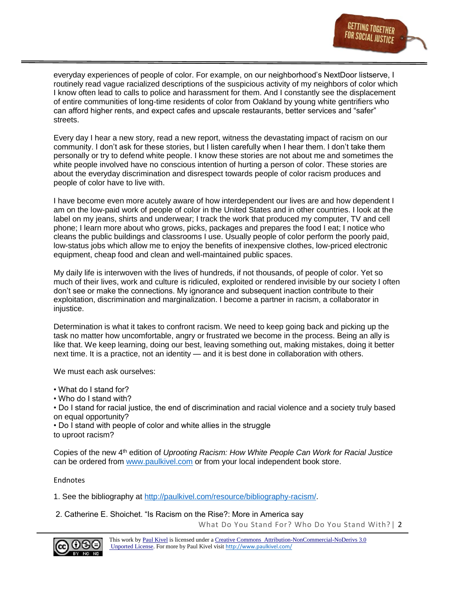

everyday experiences of people of color. For example, on our neighborhood's NextDoor listserve, I routinely read vague racialized descriptions of the suspicious activity of my neighbors of color which I know often lead to calls to police and harassment for them. And I constantly see the displacement of entire communities of long-time residents of color from Oakland by young white gentrifiers who can afford higher rents, and expect cafes and upscale restaurants, better services and "safer" streets.

Every day I hear a new story, read a new report, witness the devastating impact of racism on our community. I don't ask for these stories, but I listen carefully when I hear them. I don't take them personally or try to defend white people. I know these stories are not about me and sometimes the white people involved have no conscious intention of hurting a person of color. These stories are about the everyday discrimination and disrespect towards people of color racism produces and people of color have to live with.

I have become even more acutely aware of how interdependent our lives are and how dependent I am on the low-paid work of people of color in the United States and in other countries. I look at the label on my jeans, shirts and underwear; I track the work that produced my computer, TV and cell phone; I learn more about who grows, picks, packages and prepares the food I eat; I notice who cleans the public buildings and classrooms I use. Usually people of color perform the poorly paid, low-status jobs which allow me to enjoy the benefits of inexpensive clothes, low-priced electronic equipment, cheap food and clean and well-maintained public spaces.

My daily life is interwoven with the lives of hundreds, if not thousands, of people of color. Yet so much of their lives, work and culture is ridiculed, exploited or rendered invisible by our society I often don't see or make the connections. My ignorance and subsequent inaction contribute to their exploitation, discrimination and marginalization. I become a partner in racism, a collaborator in iniustice.

Determination is what it takes to confront racism. We need to keep going back and picking up the task no matter how uncomfortable, angry or frustrated we become in the process. Being an ally is like that. We keep learning, doing our best, leaving something out, making mistakes, doing it better next time. It is a practice, not an identity — and it is best done in collaboration with others.

We must each ask ourselves:

- What do I stand for?
- Who do I stand with?
- Do I stand for racial justice, the end of discrimination and racial violence and a society truly based on equal opportunity?

• Do I stand with people of color and white allies in the struggle to uproot racism?

Copies of the new 4th edition of *Uprooting Racism: How White People Can Work for Racial Justice* can be ordered from [www.paulkivel.com](http://www.paulkivel.com/) or from your local independent book store.

Endnotes

1. See the bibliography at [http://paulkivel.com/resource/bibliography-racism/.](http://paulkivel.com/resource/bibliography-racism/)

2. Catherine E. Shoichet. "Is Racism on the Rise?: More in America say

What Do You Stand For? Who Do You Stand With?| 2

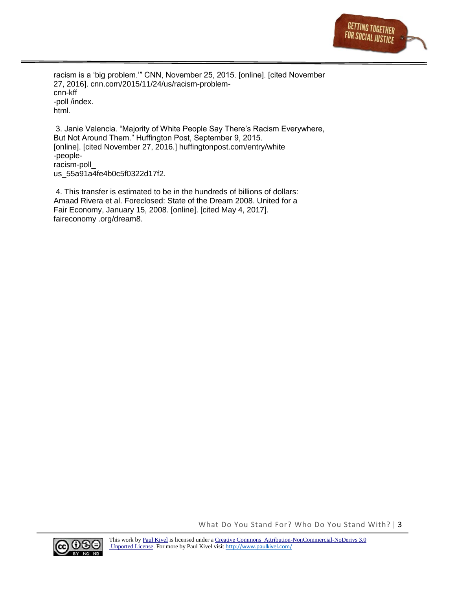

racism is a 'big problem.'" CNN, November 25, 2015. [online]. [cited November 27, 2016]. cnn.com/2015/11/24/us/racism-problemcnn-kff -poll /index. html.

3. Janie Valencia. "Majority of White People Say There's Racism Everywhere, But Not Around Them." Huffington Post, September 9, 2015. [online]. [cited November 27, 2016.] huffingtonpost.com/entry/white -peopleracism-poll\_ us\_55a91a4fe4b0c5f0322d17f2.

4. This transfer is estimated to be in the hundreds of billions of dollars: Amaad Rivera et al. Foreclosed: State of the Dream 2008. United for a Fair Economy, January 15, 2008. [online]. [cited May 4, 2017]. faireconomy .org/dream8.

What Do You Stand For? Who Do You Stand With? | 3